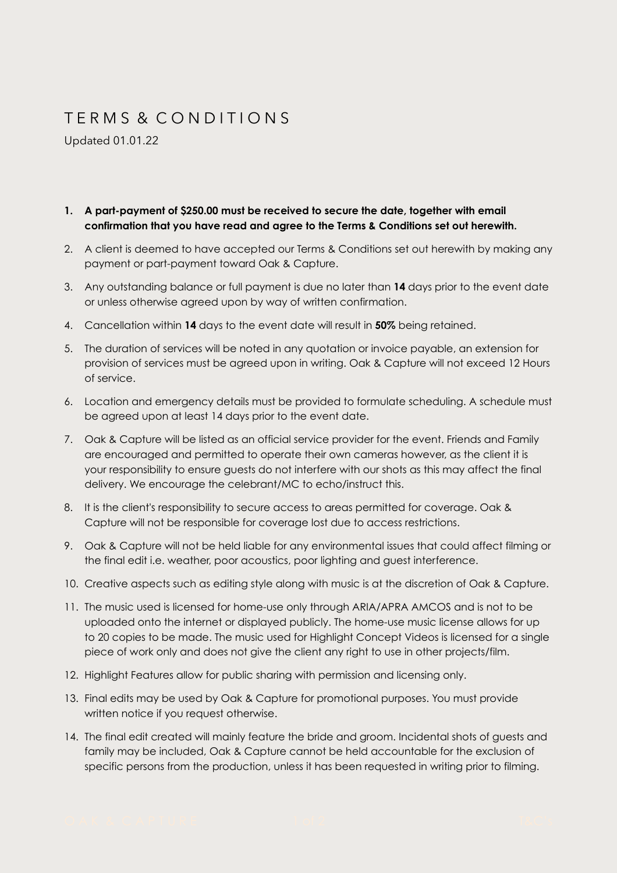## T E R M S & C O N D I T I O N S

Updated 01.01.22

## **1. A part-payment of \$250.00 must be received to secure the date, together with email confirmation that you have read and agree to the Terms & Conditions set out herewith.**

- 2. A client is deemed to have accepted our Terms & Conditions set out herewith by making any payment or part-payment toward Oak & Capture.
- 3. Any outstanding balance or full payment is due no later than **14** days prior to the event date or unless otherwise agreed upon by way of written confirmation.
- 4. Cancellation within **14** days to the event date will result in **50%** being retained.
- 5. The duration of services will be noted in any quotation or invoice payable, an extension for provision of services must be agreed upon in writing. Oak & Capture will not exceed 12 Hours of service.
- 6. Location and emergency details must be provided to formulate scheduling. A schedule must be agreed upon at least 14 days prior to the event date.
- 7. Oak & Capture will be listed as an official service provider for the event. Friends and Family are encouraged and permitted to operate their own cameras however, as the client it is your responsibility to ensure guests do not interfere with our shots as this may affect the final delivery. We encourage the celebrant/MC to echo/instruct this.
- 8. It is the client's responsibility to secure access to areas permitted for coverage. Oak & Capture will not be responsible for coverage lost due to access restrictions.
- 9. Oak & Capture will not be held liable for any environmental issues that could affect filming or the final edit i.e. weather, poor acoustics, poor lighting and guest interference.
- 10. Creative aspects such as editing style along with music is at the discretion of Oak & Capture.
- 11. The music used is licensed for home-use only through ARIA/APRA AMCOS and is not to be uploaded onto the internet or displayed publicly. The home-use music license allows for up to 20 copies to be made. The music used for Highlight Concept Videos is licensed for a single piece of work only and does not give the client any right to use in other projects/film.
- 12. Highlight Features allow for public sharing with permission and licensing only.
- 13. Final edits may be used by Oak & Capture for promotional purposes. You must provide written notice if you request otherwise.
- 14. The final edit created will mainly feature the bride and groom. Incidental shots of guests and family may be included, Oak & Capture cannot be held accountable for the exclusion of specific persons from the production, unless it has been requested in writing prior to filming.